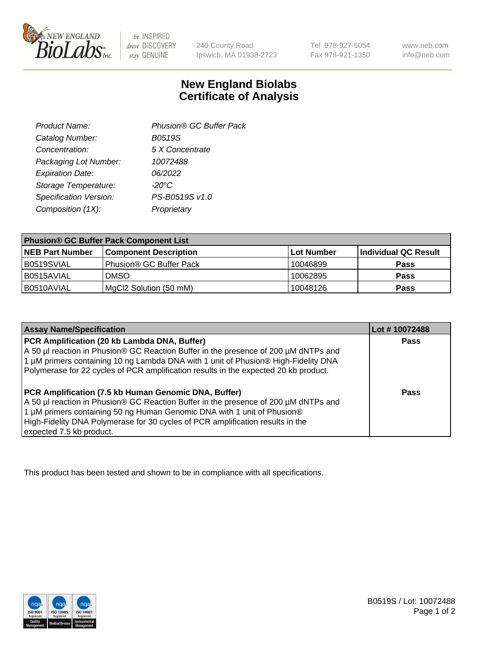

 $be$  INSPIRED drive DISCOVERY stay GENUINE

240 County Road Ipswich, MA 01938-2723 Tel 978-927-5054 Fax 978-921-1350 www.neb.com info@neb.com

## **New England Biolabs Certificate of Analysis**

| Product Name:           | Phusion® GC Buffer Pack |
|-------------------------|-------------------------|
| Catalog Number:         | B0519S                  |
| Concentration:          | 5 X Concentrate         |
| Packaging Lot Number:   | 10072488                |
| <b>Expiration Date:</b> | 06/2022                 |
| Storage Temperature:    | $-20^{\circ}$ C         |
| Specification Version:  | PS-B0519S v1.0          |
| Composition (1X):       | Proprietary             |
|                         |                         |

| <b>Phusion® GC Buffer Pack Component List</b> |                              |            |                      |  |
|-----------------------------------------------|------------------------------|------------|----------------------|--|
| <b>NEB Part Number</b>                        | <b>Component Description</b> | Lot Number | Individual QC Result |  |
| B0519SVIAL                                    | Phusion® GC Buffer Pack      | 10046899   | <b>Pass</b>          |  |
| B0515AVIAL                                    | <b>DMSO</b>                  | 10062895   | <b>Pass</b>          |  |
| B0510AVIAL                                    | MgCl2 Solution (50 mM)       | 10048126   | <b>Pass</b>          |  |

| <b>Assay Name/Specification</b>                                                                                                                                                                                                                                                                                                             | Lot #10072488 |
|---------------------------------------------------------------------------------------------------------------------------------------------------------------------------------------------------------------------------------------------------------------------------------------------------------------------------------------------|---------------|
| PCR Amplification (20 kb Lambda DNA, Buffer)<br>A 50 µl reaction in Phusion® GC Reaction Buffer in the presence of 200 µM dNTPs and<br>1 μM primers containing 10 ng Lambda DNA with 1 unit of Phusion® High-Fidelity DNA<br>Polymerase for 22 cycles of PCR amplification results in the expected 20 kb product.                           | <b>Pass</b>   |
| <b>PCR Amplification (7.5 kb Human Genomic DNA, Buffer)</b><br>A 50 µl reaction in Phusion® GC Reaction Buffer in the presence of 200 µM dNTPs and<br>1 µM primers containing 50 ng Human Genomic DNA with 1 unit of Phusion®<br>High-Fidelity DNA Polymerase for 30 cycles of PCR amplification results in the<br>expected 7.5 kb product. | <b>Pass</b>   |

This product has been tested and shown to be in compliance with all specifications.